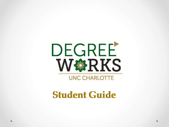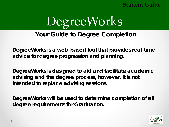

### **Your Guide to Degree Completion**

**DegreeWorks is a web-based tool that provides real-time advice for degree progression and planning**.

**DegreeWorks is designed to aid and facilitate academic advising and the degree process, however, it is not intended to replace advising sessions.**

**DegreeWorks will be used to determine completion of all degree requirements for Graduation.**

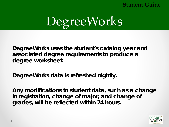

**DegreeWorks uses the student's catalog year and associated degree requirements to produce a degree worksheet.** 

**DegreeWorks data is refreshed nightly.** 

**Any modifications to student data, such as a change in registration, change of major, and change of grades, will be reflected within 24 hours.**

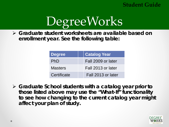

 **Graduate student worksheets are available based on enrollment year. See the following table:**

| <b>Degree</b>  | <b>Catalog Year</b> |
|----------------|---------------------|
| PhD            | Fall 2009 or later  |
| <b>Masters</b> | Fall 2013 or later  |
| Certificate    | Fall 2013 or later  |

 **Graduate School students with a catalog year prior to those listed above may use the "What-If" functionality to see how changing to the current catalog year might affect your plan of study.** 

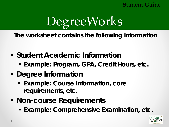

**The worksheet contains the following information**

- **Example 1 Student Academic Information** 
	- **Example: Program, GPA, Credit Hours, etc.**
- **Degree Information**
	- **Example: Course Information, core requirements, etc.**
- **Non-course Requirements**
	- **Example: Comprehensive Examination, etc.**

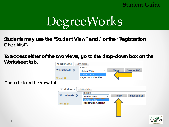

**Students may use the "Student View" and / or the "Registration Checklist".** 

**To access either of the two views, go to the drop-down box on the Worksheet tab. Worksheets** 



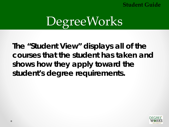

**The "Student View" displays all of the courses that the student has taken and shows how they apply toward the student's degree requirements.** 

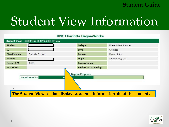## Student View Information

| <b>Student View</b>   | A0000PLi as of 01/22/2016 at 15:55 | <b>UNC Charlotte DegreeWorks</b> |                         |
|-----------------------|------------------------------------|----------------------------------|-------------------------|
| <b>Student</b>        |                                    | College                          | Liberal Arts & Sciences |
| ID                    |                                    | Level                            | Graduate                |
| <b>Classification</b> | Graduate Student                   | Degree                           | Master of Arts          |
| <b>Advisor</b>        |                                    | Major                            | Anthropology (MA)       |
| <b>Overall GPA</b>    | 3.000                              | <b>Concentration</b>             |                         |
| <b>Visa Status</b>    |                                    | <b>Student Assistantship</b>     |                         |
|                       | <b>Requirements</b>                | <b>Degree Progress</b>           |                         |

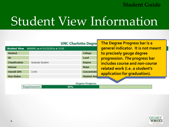## Student View Information

|                       |                                    | <b>UNC Charlotte Degre</b> | The Degree Progress bar is a       |
|-----------------------|------------------------------------|----------------------------|------------------------------------|
| <b>Student View</b>   | A0000PLi as of 01/22/2016 at 15:55 |                            | general indicator. It is not meant |
| <b>Student</b>        |                                    | College                    | to precisely gauge degree          |
| ID                    |                                    | Level                      | progression. The progress bar      |
| <b>Classification</b> | Graduate Student                   | Degree                     | includes course and non-course     |
| <b>Advisor</b>        |                                    | Major                      | related work (i.e. a student's     |
| <b>Overall GPA</b>    | 3.000                              | <b>Concentratio</b>        | application for graduation).       |
| <b>Visa Status</b>    |                                    | <b>Student Assi</b>        |                                    |
|                       |                                    | <b>Degree Progress</b>     |                                    |
|                       | <b>Requirements</b>                | 45%                        |                                    |

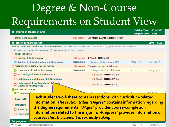### Degree & Non-Course Requirements on Student View

| <b>Degree in Master of Arts</b>                                                                                                |                  |                                                                         |      | <b>Catalog Year:</b> | 2014-2015            |
|--------------------------------------------------------------------------------------------------------------------------------|------------------|-------------------------------------------------------------------------|------|----------------------|----------------------|
|                                                                                                                                |                  |                                                                         |      | <b>Program GPA:</b>  | 3.666                |
| <b>Major Requirements</b>                                                                                                      |                  | Still Needed: See Major in Anthropology section                         |      |                      |                      |
| <b>Major in Anthropology</b>                                                                                                   |                  |                                                                         |      |                      | 3.666<br><b>GPA:</b> |
| Unmet conditions for this set of requirements: 33 credits are required. You currently have 12, you still need 21 more credits. |                  |                                                                         |      |                      |                      |
| At most, two courses with a grade of 'C' may be applied to this program.                                                       |                  |                                                                         |      |                      |                      |
| <b>CORE COURSES</b>                                                                                                            |                  |                                                                         |      |                      |                      |
| <b>History of Anthropology</b>                                                                                                 | Still Needed:    | 1 Class in ANTH 6601                                                    |      |                      |                      |
| Seminar in Interdisciplinary Anthropology                                                                                      | <b>ANTH 6602</b> | Seminar in Interdiscplnry ANTH                                          | *REG | (3)                  | Spring 2016          |
| <b>INTERDISCIPLINARY COURSEWORK</b>                                                                                            | Still Needed:    | Choose from 1 of the following:                                         |      |                      |                      |
| Theory in Cultural Anthropology                                                                                                | <b>ANTH 6603</b> | Theory in Social & Cultrl ANTH                                          | A    | 3                    | Spring 2015          |
| Archaeological Theory and Practice                                                                                             |                  | $(1$ Class in ANTH 6604 ) or                                            |      |                      |                      |
| <b>Evolutionary and Biological Anthropology</b>                                                                                |                  | (1 Class in ANTH 6605) or                                               |      |                      |                      |
| Language/Culture:Foundation Is<br><b>Linguistic Anthropology</b>                                                               |                  | ( 1 Class in ANTH 6606 )                                                |      |                      |                      |
| <b>METHODS COURSE</b>                                                                                                          |                  |                                                                         |      |                      |                      |
| <b>Z</b> Ethnograph                                                                                                            |                  |                                                                         |      |                      |                      |
|                                                                                                                                |                  | Each student worksheet contains sections with curriculum-related        |      |                      |                      |
| <b>ELECTIVES</b>                                                                                                               |                  | information. The section titled "Degree" contains information regarding |      |                      |                      |
| <b>CAPSTONE</b>                                                                                                                |                  |                                                                         |      |                      |                      |
| $\Box$ Practicum (                                                                                                             |                  | the degree requirements. "Major" provides course-completion             |      |                      |                      |
| $\Box$ Thesis Opti                                                                                                             |                  | information related to the major. "In-Progress" provides information on |      |                      |                      |
| courses that the student is currently taking.                                                                                  |                  |                                                                         |      |                      |                      |
| <b>In-progress</b>                                                                                                             |                  |                                                                         |      |                      |                      |
| Seminar in Interdiscplnry ANTH<br><b>ANTH 6602</b>                                                                             |                  |                                                                         | *REG | 3                    | Spring 2016          |

Seminar in Interdiscpinry ANTH

Spring 2016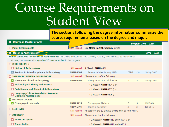### Course Requirements on Student View

| <b>Degree in Master of Arts</b><br><b>Major Requirements</b>                                                                   | course requirements based on the degree and major.           |
|--------------------------------------------------------------------------------------------------------------------------------|--------------------------------------------------------------|
|                                                                                                                                |                                                              |
|                                                                                                                                | <b>Program GPA:</b><br>3.666                                 |
|                                                                                                                                | <b>Still Needed:</b> See Major in Anthropology section       |
| <b>Major in Anthropology</b>                                                                                                   | 3.666<br><b>GPA:</b>                                         |
| Unmet conditions for this set of requirements: 33 credits are required. You currently have 12, you still need 21 more credits. |                                                              |
| At most, two courses with a grade of 'C' may be applied to this program.                                                       |                                                              |
| <b>CORE COURSES</b>                                                                                                            |                                                              |
| History of Anthropology<br>Still Needed:                                                                                       | 1 Class in ANTH 6601                                         |
| $\Box$ Seminar in Interdisciplinary Anthropology<br><b>ANTH 6602</b>                                                           | Seminar in Interdiscplnry ANTH<br>*REG<br>(3)<br>Spring 2016 |
| <b>INTERDISCIPLINARY COURSEWORK</b><br>Still Needed:                                                                           | Choose from 1 of the following:                              |
| Theory in Cultural Anthropology<br><b>ANTH 6603</b>                                                                            | Theory in Social & Cultrl ANTH<br>A<br>3<br>Spring 2015      |
| Archaeological Theory and Practice                                                                                             | (1 Class in ANTH 6604 ) or                                   |
| <b>Evolutionary and Biological Anthropology</b>                                                                                | (1 Class in ANTH 6605 ) or                                   |
| Language/Culture:Foundation Issues in<br><b>Linguistic Anthropology</b>                                                        | (1 Class in ANTH 6606)                                       |
| METHODS COURSE                                                                                                                 |                                                              |
| K Ethnographic Methods<br><b>ANTH 5122</b>                                                                                     | Ethnographic Methods<br>3<br><b>Fall 2014</b><br>B           |
| <b>SOCY 6090</b><br><b>ELECTIVES</b>                                                                                           | Topics in Sociology<br><b>Fall 2015</b><br>3<br>А            |
| Still Needed:                                                                                                                  | At least 6 of the 12 elective credits must be from ANTH.     |
| <b>CAPSTONE</b><br>Still Needed:                                                                                               | Choose from 1 of the following:                              |
| <b>Practicum Option</b>                                                                                                        | ( $2$ Classes in ANTH 6611 and 6400*) or                     |
| $\Box$ Thesis Option                                                                                                           | (2 Classes in ANTH 6910 and 6920)                            |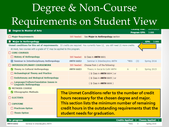### Degree & Non-Course Requirements on Student View

| <b>Degree in Master of Arts</b>                                                                                                |                  |                                                       |      | <b>CalalUy Teal.</b><br><b>Program GPA:</b> | <b>ZU14-ZU1J</b><br>3.666 |
|--------------------------------------------------------------------------------------------------------------------------------|------------------|-------------------------------------------------------|------|---------------------------------------------|---------------------------|
| <b>Major Requirements</b>                                                                                                      |                  | Still Needed: See Major in Anthropology section       |      |                                             |                           |
| <b>Major in Anthropology</b>                                                                                                   |                  |                                                       |      |                                             | <b>GPA:</b><br>3.666      |
| Unmet conditions for this set of requirements: 33 credits are required. You currently have 12, you still need 21 more credits. |                  |                                                       |      |                                             |                           |
| At most, two courses with a grade of 'C' may be applied to this program.                                                       |                  |                                                       |      |                                             |                           |
| <b>CORE COURSES</b>                                                                                                            |                  |                                                       |      |                                             |                           |
| <b>History of Anthropology</b>                                                                                                 |                  | Still Needed: 1 Class in ANTH 6601                    |      |                                             |                           |
| Seminar in Interdisciplinary Anthropology                                                                                      | <b>ANTH 6602</b> | Seminar in Interdiscplnry ANTH                        | *REG | (3)                                         | Spring 2016               |
| <b>INTERDISCIPLINARY COURSEWORK</b>                                                                                            | Still Needed:    | Choose from 1 of the following:                       |      |                                             |                           |
| Theory in Cultural Anthropology                                                                                                | <b>ANTH 6603</b> | Theory in Social & Cultrl ANTH                        | A    | 3                                           | Spring 2015               |
| Archaeological Theory and Practice                                                                                             |                  | (1 Class in ANTH 6604 ) or                            |      |                                             |                           |
| <b>Evolutionary and Biological Anthropology</b>                                                                                |                  | (1 Class in ANTH 6605) or                             |      |                                             |                           |
| Language/Culture:Foundation Issues in<br>Linguistic Anthropology                                                               |                  | (1 Class in ANTH 6606)                                |      |                                             |                           |
| <b>METHODS COURSE</b>                                                                                                          |                  |                                                       |      |                                             |                           |
| <b>Ethnographic Methods</b>                                                                                                    |                  | The Unmet Conditions refer to the number of credit    |      |                                             |                           |
| <b>ELECTIVES</b>                                                                                                               |                  | hours necessary for the chosen degree and major.      |      |                                             |                           |
| <b>CAPSTONE</b>                                                                                                                |                  | This section lists the minimum number of remaining    |      |                                             |                           |
| <b>Practicum Option</b>                                                                                                        |                  | credit hours in the outstanding requirements that the |      |                                             |                           |
| $\Box$ Thesis Option                                                                                                           |                  | student needs for graduation.                         |      |                                             |                           |
|                                                                                                                                |                  |                                                       |      |                                             |                           |

#### Credits Applied: 3 Classes Applied: 1 \*REG 3 Spring 2016

**ANTH 6602** 

In-progress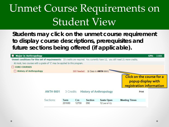### Unmet Course Requirements on Student View

**Students may click on the unmet course requirement to display course descriptions, prerequisites and future sections being offered (***if applicable***).**

| <b>Major in Anthropology</b>                                                                                                   |                  |                       |              |                       |                                     |                                                                                    | GPA: | 3.666 |
|--------------------------------------------------------------------------------------------------------------------------------|------------------|-----------------------|--------------|-----------------------|-------------------------------------|------------------------------------------------------------------------------------|------|-------|
| Unmet conditions for this set of requirements: 33 credits are required. You currently have 12, you still need 21 more credits. |                  |                       |              |                       |                                     |                                                                                    |      |       |
| At most, two courses with a grade of 'C' may be applied to this program.                                                       |                  |                       |              |                       |                                     |                                                                                    |      |       |
| <b>CORE COURSES</b>                                                                                                            |                  |                       |              |                       |                                     |                                                                                    |      |       |
| History of Anthropology                                                                                                        |                  |                       |              |                       | Still Needed: 1 Class in ANTH 6601  |                                                                                    |      |       |
|                                                                                                                                |                  |                       |              |                       |                                     | <b>Click on the course for a</b><br>popup display with<br>registration information |      |       |
|                                                                                                                                | <b>ANTH 6601</b> | 3 Credits             |              |                       | <b>History of Anthropology</b>      | Print                                                                              |      |       |
|                                                                                                                                | Sections:        | <b>Term</b><br>201680 | Crn<br>12758 | <b>Section</b><br>090 | <b>Seats Open</b><br>12 (out of 12) | <b>Meeting Times</b>                                                               |      |       |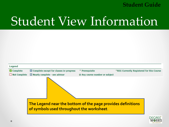## Student View Information



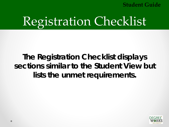# Registration Checklist

### **The Registration Checklist displays sections similar to the Student View but lists the unmet requirements.**

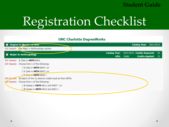## Registration Checklist

| <b>UNC Charlotte DegreeWorks</b>                                       |                                              |            |                                |  |
|------------------------------------------------------------------------|----------------------------------------------|------------|--------------------------------|--|
| Degree in Master of Arts                                               |                                              |            | <b>Catalog Year: 2014-2015</b> |  |
| Still Needed: (See Major in Anthropology section                       |                                              |            |                                |  |
| <b>Major in Anthropology</b>                                           | Catalog Year: 2014-2015 Credits Required: 33 |            |                                |  |
|                                                                        |                                              | GPA: 3.666 | <b>Credits Applied: 12</b>     |  |
| Still Needed: 1 Class in ANTH 6601                                     |                                              |            |                                |  |
| Still Needed: Choose from 1 of the following:                          |                                              |            |                                |  |
| (1 Class in ANTH 6604) or                                              |                                              |            |                                |  |
| (1 Class in ANTH 6605) or                                              |                                              |            |                                |  |
| $(1$ Class in ANTH 6606)                                               |                                              |            |                                |  |
| Still Needed: At least 6 of the 12 elective credits must be from ANTH. |                                              |            |                                |  |
| Sall Needed: Choose from 1 of the following:                           |                                              |            |                                |  |
| 2 Classes in ANTH 6611 and 6400* ) or                                  |                                              |            |                                |  |
| 2 Classes in ANTH 6910 and 6920)                                       |                                              |            |                                |  |
|                                                                        |                                              |            |                                |  |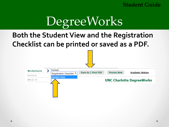

### **Both the Student View and the Registration Checklist can be printed or saved as a PDF.**

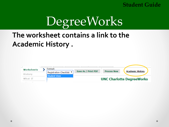

### **The worksheet contains a link to the Academic History .**

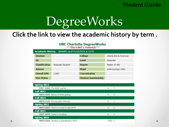

### **Click the link to view the academic history by term .**

|                                        |                                          | <b>UNC Charlotte DegreeWorks</b><br>This is NOT a Transcript ** |          |                         |
|----------------------------------------|------------------------------------------|-----------------------------------------------------------------|----------|-------------------------|
| <b>Academic History</b>                | A0000PLi as of 01/22/2016 at 15:55       |                                                                 |          |                         |
| <b>Student</b>                         |                                          | College                                                         |          | Liberal Arts & Sciences |
| ID                                     |                                          | Level                                                           | Graduate |                         |
| <b>Classification</b>                  | Graduate Student                         | <b>Degree</b>                                                   |          | Master of Arts          |
| <b>Advisor</b>                         |                                          | Major                                                           |          | Anthropology (MA)       |
| <b>Overall GPA</b>                     | 3.800                                    | Concentration                                                   |          |                         |
| <b>Visa Status</b>                     |                                          | <b>Student Assistantship</b>                                    |          |                         |
| <b>Spring 2013</b><br><b>Fall 2013</b> | <b>EIST 6101</b> The Adult Learner       |                                                                 | A        | 3                       |
| <b>Fall 2014</b>                       | ANTH 6601 History of Anthropology        |                                                                 | A        | 3                       |
| <b>Spring 2015</b>                     | ANTH 5122 Ethnographic Methods           |                                                                 | B        | 3                       |
| <b>Fall 2015</b>                       | ANTH 6603 Theory in Social & Cultrl ANTH |                                                                 | A        | 3                       |
| Spring 2016                            | <b>SOCY 6090 Topics in Sociology</b>     |                                                                 | A        | 3                       |
|                                        | ANTH 6602 Seminar in Interdiscplnry ANTH |                                                                 | *REG 3   |                         |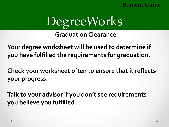

**Graduation Clearance**

**Your degree worksheet will be used to determine if you have fulfilled the requirements for graduation.** 

**Check your worksheet often to ensure that it reflects your progress.** 

**Talk to your advisor if you don't see requirements you believe you fulfilled.**